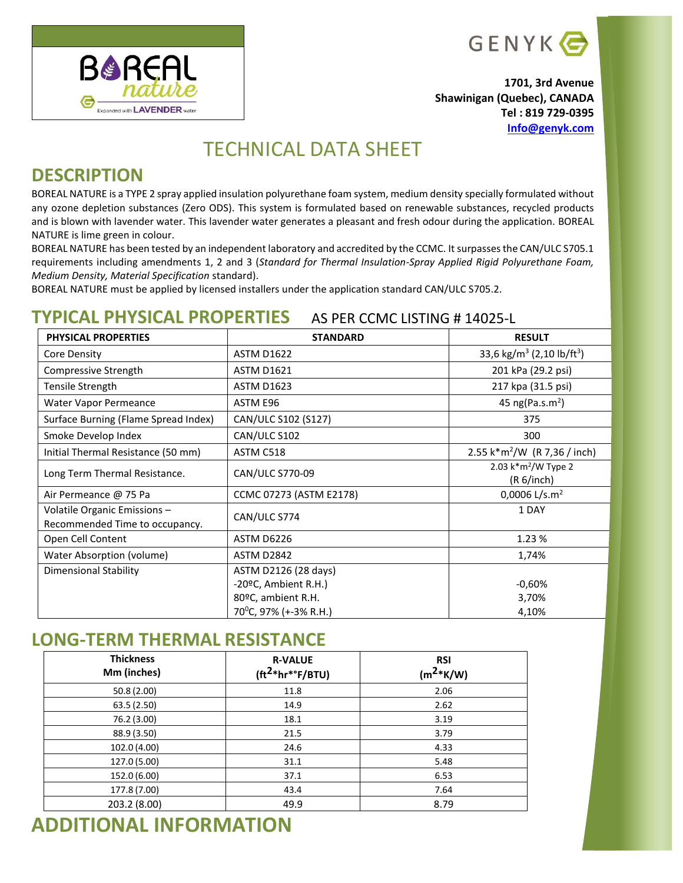

**1701, 3rd Avenue Shawinigan (Quebec), CANADA Tel : 819 729-0395 [Info@genyk.com](mailto:Info@genyk.com)**

## TECHNICAL DATA SHEET

#### **DESCRIPTION**

**BOREAL** 

Expanded with LAVENDER wat

BOREAL NATURE is a TYPE 2 spray applied insulation polyurethane foam system, medium density specially formulated without any ozone depletion substances (Zero ODS). This system is formulated based on renewable substances, recycled products and is blown with lavender water. This lavender water generates a pleasant and fresh odour during the application. BOREAL NATURE is lime green in colour.

BOREAL NATURE has been tested by an independent laboratory and accredited by the CCMC. It surpasses the CAN/ULC S705.1 requirements including amendments 1, 2 and 3 (*Standard for Thermal Insulation-Spray Applied Rigid Polyurethane Foam, Medium Density, Material Specification* standard).

BOREAL NATURE must be applied by licensed installers under the application standard CAN/ULC S705.2.

#### **TYPICAL PHYSICAL PROPERTIES** AS PER CCMC LISTING # 14025-L

| <b>PHYSICAL PROPERTIES</b>                                     | <b>STANDARD</b>                    | <b>RESULT</b>                                     |
|----------------------------------------------------------------|------------------------------------|---------------------------------------------------|
| Core Density                                                   | <b>ASTM D1622</b>                  | 33,6 kg/m <sup>3</sup> (2,10 lb/ft <sup>3</sup> ) |
| Compressive Strength                                           | <b>ASTM D1621</b>                  | 201 kPa (29.2 psi)                                |
| Tensile Strength                                               | <b>ASTM D1623</b>                  | 217 kpa (31.5 psi)                                |
| Water Vapor Permeance                                          | ASTM E96                           | 45 ng(Pa.s.m <sup>2</sup> )                       |
| Surface Burning (Flame Spread Index)                           | CAN/ULC S102 (S127)                | 375                                               |
| Smoke Develop Index                                            | CAN/ULC S102                       | 300                                               |
| Initial Thermal Resistance (50 mm)                             | ASTM C518                          | 2.55 k*m <sup>2</sup> /W (R 7,36 / inch)          |
| Long Term Thermal Resistance.                                  | CAN/ULC S770-09                    | 2.03 $k*m^2/W$ Type 2<br>(R 6/inch)               |
| Air Permeance @ 75 Pa                                          | CCMC 07273 (ASTM E2178)            | 0,0006 L/s.m <sup>2</sup>                         |
| Volatile Organic Emissions -<br>Recommended Time to occupancy. | CAN/ULC S774                       | 1 DAY                                             |
| Open Cell Content                                              | ASTM D6226                         | 1.23 %                                            |
| Water Absorption (volume)                                      | <b>ASTM D2842</b>                  | 1,74%                                             |
| <b>Dimensional Stability</b>                                   | ASTM D2126 (28 days)               |                                                   |
|                                                                | -20ºC, Ambient R.H.)               | $-0,60%$                                          |
|                                                                | 80°C, ambient R.H.                 | 3,70%                                             |
|                                                                | 70 <sup>o</sup> C, 97% (+-3% R.H.) | 4,10%                                             |

#### **LONG-TERM THERMAL RESISTANCE**

| <b>Thickness</b><br>Mm (inches) | <b>R-VALUE</b><br>$(tft2*hr*oF/BTU)$ | <b>RSI</b><br>$(m^{2*}K/W)$ |
|---------------------------------|--------------------------------------|-----------------------------|
| 50.8 (2.00)                     | 11.8                                 | 2.06                        |
| 63.5 (2.50)                     | 14.9                                 | 2.62                        |
| 76.2 (3.00)                     | 18.1                                 | 3.19                        |
| 88.9 (3.50)                     | 21.5                                 | 3.79                        |
| 102.0 (4.00)                    | 24.6                                 | 4.33                        |
| 127.0 (5.00)                    | 31.1                                 | 5.48                        |
| 152.0 (6.00)                    | 37.1                                 | 6.53                        |
| 177.8 (7.00)                    | 43.4                                 | 7.64                        |
| 203.2 (8.00)                    | 49.9                                 | 8.79                        |

# **ADDITIONAL INFORMATION**